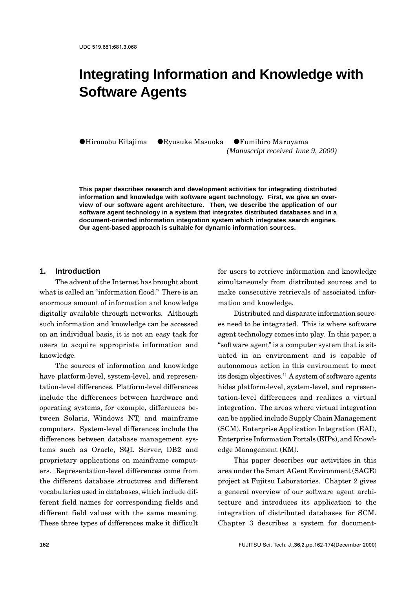# **Integrating Information and Knowledge with Software Agents**

 $\bigcirc$ Hironobu Kitajima  $\bigcirc$ Ryusuke Masuoka  $\bigcirc$ Fumihiro Maruyama

*(Manuscript received June 9, 2000)*

**This paper describes research and development activities for integrating distributed information and knowledge with software agent technology. First, we give an overview of our software agent architecture. Then, we describe the application of our software agent technology in a system that integrates distributed databases and in a document-oriented information integration system which integrates search engines. Our agent-based approach is suitable for dynamic information sources.**

#### **1. Introduction**

The advent of the Internet has brought about what is called an "information flood." There is an enormous amount of information and knowledge digitally available through networks. Although such information and knowledge can be accessed on an individual basis, it is not an easy task for users to acquire appropriate information and knowledge.

The sources of information and knowledge have platform-level, system-level, and representation-level differences. Platform-level differences include the differences between hardware and operating systems, for example, differences between Solaris, Windows NT, and mainframe computers. System-level differences include the differences between database management systems such as Oracle, SQL Server, DB2 and proprietary applications on mainframe computers. Representation-level differences come from the different database structures and different vocabularies used in databases, which include different field names for corresponding fields and different field values with the same meaning. These three types of differences make it difficult

for users to retrieve information and knowledge simultaneously from distributed sources and to make consecutive retrievals of associated information and knowledge.

Distributed and disparate information sources need to be integrated. This is where software agent technology comes into play. In this paper, a "software agent" is a computer system that is situated in an environment and is capable of autonomous action in this environment to meet its design objectives.1) A system of software agents hides platform-level, system-level, and representation-level differences and realizes a virtual integration. The areas where virtual integration can be applied include Supply Chain Management (SCM), Enterprise Application Integration (EAI), Enterprise Information Portals (EIPs), and Knowledge Management (KM).

This paper describes our activities in this area under the Smart AGent Environment (SAGE) project at Fujitsu Laboratories. Chapter 2 gives a general overview of our software agent architecture and introduces its application to the integration of distributed databases for SCM. Chapter 3 describes a system for document-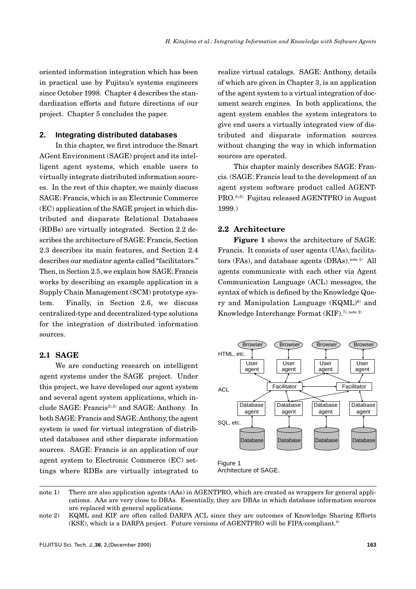oriented information integration which has been in practical use by Fujitsu's systems engineers since October 1998. Chapter 4 describes the standardization efforts and future directions of our project. Chapter 5 concludes the paper.

#### **2. Integrating distributed databases**

In this chapter, we first introduce the Smart AGent Environment (SAGE) project and its intelligent agent systems, which enable users to virtually integrate distributed information sources. In the rest of this chapter, we mainly discuss SAGE: Francis, which is an Electronic Commerce (EC) application of the SAGE project in which distributed and disparate Relational Databases (RDBs) are virtually integrated. Section 2.2 describes the architecture of SAGE: Francis, Section 2.3 describes its main features, and Section 2.4 describes our mediator agents called "facilitators." Then, in Section 2.5, we explain how SAGE: Francis works by describing an example application in a Supply Chain Management (SCM) prototype system. Finally, in Section 2.6, we discuss centralized-type and decentralized-type solutions for the integration of distributed information sources.

## **2.1 SAGE**

We are conducting research on intelligent agent systems under the SAGE project. Under this project, we have developed our agent system and several agent system applications, which include SAGE: Francis<sup>2),3)</sup> and SAGE: Anthony. In both SAGE: Francis and SAGE: Anthony, the agent system is used for virtual integration of distributed databases and other disparate information sources. SAGE: Francis is an application of our agent system to Electronic Commerce (EC) settings where RDBs are virtually integrated to

realize virtual catalogs. SAGE: Anthony, details of which are given in Chapter 3, is an application of the agent system to a virtual integration of document search engines. In both applications, the agent system enables the system integrators to give end users a virtually integrated view of distributed and disparate information sources without changing the way in which information sources are operated.

This chapter mainly describes SAGE: Francis. (SAGE: Francis lead to the development of an agent system software product called AGENT-PRO.4),5) Fujitsu released AGENTPRO in August 1999.)

#### **2.2 Architecture**

**Figure 1** shows the architecture of SAGE: Francis. It consists of user agents (UAs), facilitators (FAs), and database agents (DBAs).<sup>note 1)</sup> All agents communicate with each other via Agent Communication Language (ACL) messages, the syntax of which is defined by the Knowledge Query and Manipulation Language (KQML)<sup>6)</sup> and Knowledge Interchange Format (KIF).<sup>7), note 2)</sup>



Architecture of SAGE.

note 1) There are also application agents (AAs) in AGENTPRO, which are created as wrappers for general applications. AAs are very close to DBAs. Essentially, they are DBAs in which database information sources are replaced with general applications.

note 2) KQML and KIF are often called DARPA ACL since they are outcomes of Knowledge Sharing Efforts  $(KSE)$ , which is a DARPA project. Future versions of AGENTPRO will be FIPA-compliant.<sup>8)</sup>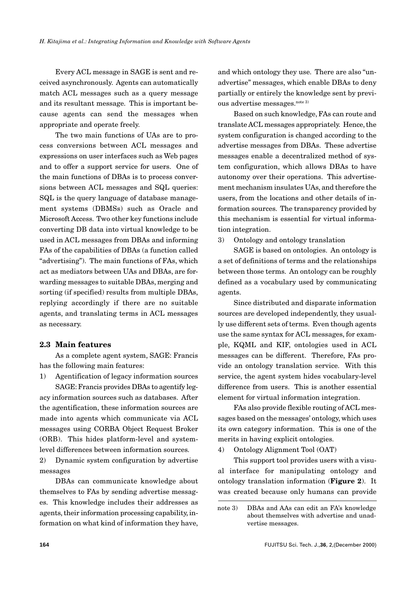Every ACL message in SAGE is sent and received asynchronously. Agents can automatically match ACL messages such as a query message and its resultant message. This is important because agents can send the messages when appropriate and operate freely.

The two main functions of UAs are to process conversions between ACL messages and expressions on user interfaces such as Web pages and to offer a support service for users. One of the main functions of DBAs is to process conversions between ACL messages and SQL queries: SQL is the query language of database management systems (DBMSs) such as Oracle and Microsoft Access. Two other key functions include converting DB data into virtual knowledge to be used in ACL messages from DBAs and informing FAs of the capabilities of DBAs (a function called "advertising"). The main functions of FAs, which act as mediators between UAs and DBAs, are forwarding messages to suitable DBAs, merging and sorting (if specified) results from multiple DBAs, replying accordingly if there are no suitable agents, and translating terms in ACL messages as necessary.

#### **2.3 Main features**

As a complete agent system, SAGE: Francis has the following main features:

1) Agentification of legacy information sources SAGE: Francis provides DBAs to agentify leg-

acy information sources such as databases. After the agentification, these information sources are made into agents which communicate via ACL messages using CORBA Object Request Broker (ORB). This hides platform-level and systemlevel differences between information sources.

2) Dynamic system configuration by advertise messages

DBAs can communicate knowledge about themselves to FAs by sending advertise messages. This knowledge includes their addresses as agents, their information processing capability, information on what kind of information they have, and which ontology they use. There are also "unadvertise" messages, which enable DBAs to deny partially or entirely the knowledge sent by previous advertise messages.<sup>note 3)</sup>

Based on such knowledge, FAs can route and translate ACL messages appropriately. Hence, the system configuration is changed according to the advertise messages from DBAs. These advertise messages enable a decentralized method of system configuration, which allows DBAs to have autonomy over their operations. This advertisement mechanism insulates UAs, and therefore the users, from the locations and other details of information sources. The transparency provided by this mechanism is essential for virtual information integration.

3) Ontology and ontology translation

SAGE is based on ontologies. An ontology is a set of definitions of terms and the relationships between those terms. An ontology can be roughly defined as a vocabulary used by communicating agents.

Since distributed and disparate information sources are developed independently, they usually use different sets of terms. Even though agents use the same syntax for ACL messages, for example, KQML and KIF, ontologies used in ACL messages can be different. Therefore, FAs provide an ontology translation service. With this service, the agent system hides vocabulary-level difference from users. This is another essential element for virtual information integration.

FAs also provide flexible routing of ACL messages based on the messages' ontology, which uses its own category information. This is one of the merits in having explicit ontologies.

4) Ontology Alignment Tool (OAT)

This support tool provides users with a visual interface for manipulating ontology and ontology translation information (**Figure 2**). It was created because only humans can provide

note 3) DBAs and AAs can edit an FA's knowledge about themselves with advertise and unadvertise messages.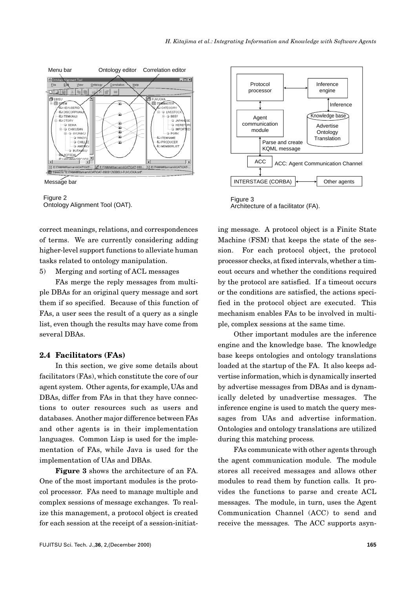

Message bar



correct meanings, relations, and correspondences of terms. We are currently considering adding higher-level support functions to alleviate human tasks related to ontology manipulation.

5) Merging and sorting of ACL messages

FAs merge the reply messages from multiple DBAs for an original query message and sort them if so specified. Because of this function of FAs, a user sees the result of a query as a single list, even though the results may have come from several DBAs.

#### **2.4 Facilitators (FAs)**

In this section, we give some details about facilitators (FAs), which constitute the core of our agent system. Other agents, for example, UAs and DBAs, differ from FAs in that they have connections to outer resources such as users and databases. Another major difference between FAs and other agents is in their implementation languages. Common Lisp is used for the implementation of FAs, while Java is used for the implementation of UAs and DBAs.

**Figure 3** shows the architecture of an FA. One of the most important modules is the protocol processor. FAs need to manage multiple and complex sessions of message exchanges. To realize this management, a protocol object is created for each session at the receipt of a session-initiat-



Architecture of a facilitator (FA).

ing message. A protocol object is a Finite State Machine (FSM) that keeps the state of the session. For each protocol object, the protocol processor checks, at fixed intervals, whether a timeout occurs and whether the conditions required by the protocol are satisfied. If a timeout occurs or the conditions are satisfied, the actions specified in the protocol object are executed. This mechanism enables FAs to be involved in multiple, complex sessions at the same time.

Other important modules are the inference engine and the knowledge base. The knowledge base keeps ontologies and ontology translations loaded at the startup of the FA. It also keeps advertise information, which is dynamically inserted by advertise messages from DBAs and is dynamically deleted by unadvertise messages. The inference engine is used to match the query messages from UAs and advertise information. Ontologies and ontology translations are utilized during this matching process.

FAs communicate with other agents through the agent communication module. The module stores all received messages and allows other modules to read them by function calls. It provides the functions to parse and create ACL messages. The module, in turn, uses the Agent Communication Channel (ACC) to send and receive the messages. The ACC supports asyn-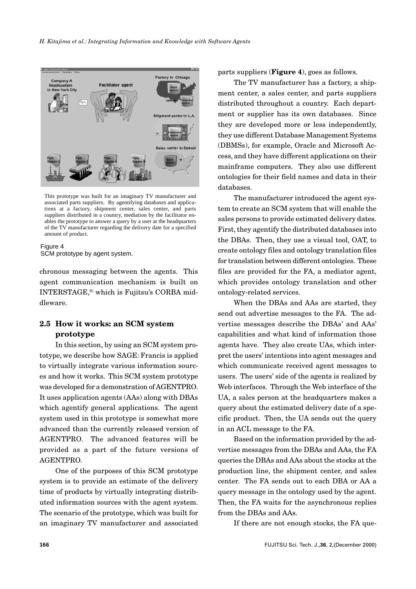

This prototype was built for an imaginary TV manufacturer and associated parts suppliers. By agentifying databases and applications at a factory, shipment center, sales center, and parts suppliers distributed in a country, mediation by the facilitator enables the prototype to answer a query by a user at the headquarters of the TV manufacturer regarding the delivery date for a specified amount of product.

#### Figure 4 SCM prototype by agent system.

chronous messaging between the agents. This agent communication mechanism is built on INTERSTAGE,9) which is Fujitsu's CORBA middleware.

## **2.5 How it works: an SCM system prototype**

In this section, by using an SCM system prototype, we describe how SAGE: Francis is applied to virtually integrate various information sources and how it works. This SCM system prototype was developed for a demonstration of AGENTPRO. It uses application agents (AAs) along with DBAs which agentify general applications. The agent system used in this prototype is somewhat more advanced than the currently released version of AGENTPRO. The advanced features will be provided as a part of the future versions of AGENTPRO.

One of the purposes of this SCM prototype system is to provide an estimate of the delivery time of products by virtually integrating distributed information sources with the agent system. The scenario of the prototype, which was built for an imaginary TV manufacturer and associated parts suppliers (**Figure 4**), goes as follows.

The TV manufacturer has a factory, a shipment center, a sales center, and parts suppliers distributed throughout a country. Each department or supplier has its own databases. Since they are developed more or less independently, they use different Database Management Systems (DBMSs), for example, Oracle and Microsoft Access, and they have different applications on their mainframe computers. They also use different ontologies for their field names and data in their databases.

The manufacturer introduced the agent system to create an SCM system that will enable the sales persons to provide estimated delivery dates. First, they agentify the distributed databases into the DBAs. Then, they use a visual tool, OAT, to create ontology files and ontology translation files for translation between different ontologies. These files are provided for the FA, a mediator agent, which provides ontology translation and other ontology-related services.

When the DBAs and AAs are started, they send out advertise messages to the FA. The advertise messages describe the DBAs' and AAs' capabilities and what kind of information those agents have. They also create UAs, which interpret the users' intentions into agent messages and which communicate received agent messages to users. The users' side of the agents is realized by Web interfaces. Through the Web interface of the UA, a sales person at the headquarters makes a query about the estimated delivery date of a specific product. Then, the UA sends out the query in an ACL message to the FA.

Based on the information provided by the advertise messages from the DBAs and AAs, the FA queries the DBAs and AAs about the stocks at the production line, the shipment center, and sales center. The FA sends out to each DBA or AA a query message in the ontology used by the agent. Then, the FA waits for the asynchronous replies from the DBAs and AAs.

If there are not enough stocks, the FA que-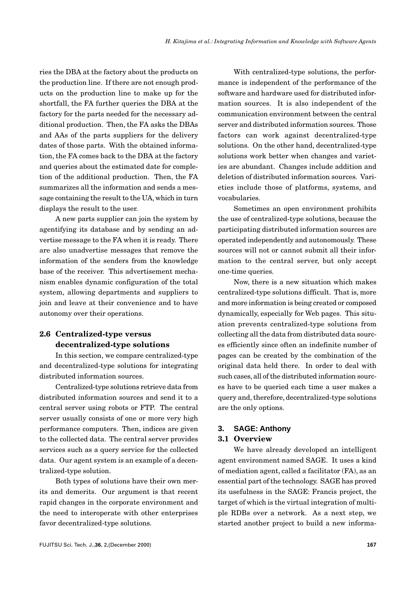ries the DBA at the factory about the products on the production line. If there are not enough products on the production line to make up for the shortfall, the FA further queries the DBA at the factory for the parts needed for the necessary additional production. Then, the FA asks the DBAs and AAs of the parts suppliers for the delivery dates of those parts. With the obtained information, the FA comes back to the DBA at the factory and queries about the estimated date for completion of the additional production. Then, the FA summarizes all the information and sends a message containing the result to the UA, which in turn displays the result to the user.

A new parts supplier can join the system by agentifying its database and by sending an advertise message to the FA when it is ready. There are also unadvertise messages that remove the information of the senders from the knowledge base of the receiver. This advertisement mechanism enables dynamic configuration of the total system, allowing departments and suppliers to join and leave at their convenience and to have autonomy over their operations.

# **2.6 Centralized-type versus decentralized-type solutions**

In this section, we compare centralized-type and decentralized-type solutions for integrating distributed information sources.

Centralized-type solutions retrieve data from distributed information sources and send it to a central server using robots or FTP. The central server usually consists of one or more very high performance computers. Then, indices are given to the collected data. The central server provides services such as a query service for the collected data. Our agent system is an example of a decentralized-type solution.

Both types of solutions have their own merits and demerits. Our argument is that recent rapid changes in the corporate environment and the need to interoperate with other enterprises favor decentralized-type solutions.

With centralized-type solutions, the performance is independent of the performance of the software and hardware used for distributed information sources. It is also independent of the communication environment between the central server and distributed information sources. Those factors can work against decentralized-type solutions. On the other hand, decentralized-type solutions work better when changes and varieties are abundant. Changes include addition and deletion of distributed information sources. Varieties include those of platforms, systems, and vocabularies.

Sometimes an open environment prohibits the use of centralized-type solutions, because the participating distributed information sources are operated independently and autonomously. These sources will not or cannot submit all their information to the central server, but only accept one-time queries.

Now, there is a new situation which makes centralized-type solutions difficult. That is, more and more information is being created or composed dynamically, especially for Web pages. This situation prevents centralized-type solutions from collecting all the data from distributed data sources efficiently since often an indefinite number of pages can be created by the combination of the original data held there. In order to deal with such cases, all of the distributed information sources have to be queried each time a user makes a query and, therefore, decentralized-type solutions are the only options.

### **3. SAGE: Anthony**

### **3.1 Overview**

We have already developed an intelligent agent environment named SAGE. It uses a kind of mediation agent, called a facilitator (FA), as an essential part of the technology. SAGE has proved its usefulness in the SAGE: Francis project, the target of which is the virtual integration of multiple RDBs over a network. As a next step, we started another project to build a new informa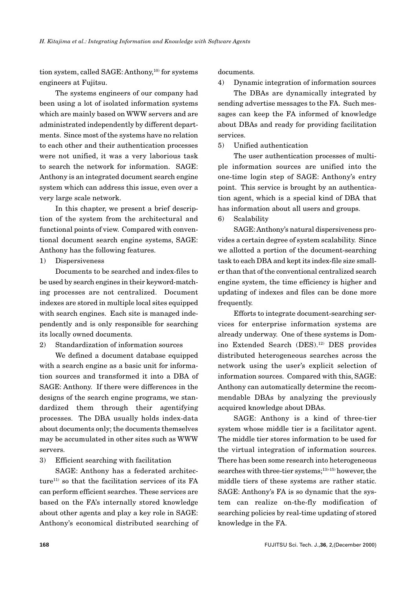tion system, called SAGE: Anthony,<sup>10)</sup> for systems engineers at Fujitsu.

The systems engineers of our company had been using a lot of isolated information systems which are mainly based on WWW servers and are administrated independently by different departments. Since most of the systems have no relation to each other and their authentication processes were not unified, it was a very laborious task to search the network for information. SAGE: Anthony is an integrated document search engine system which can address this issue, even over a very large scale network.

In this chapter, we present a brief description of the system from the architectural and functional points of view. Compared with conventional document search engine systems, SAGE: Anthony has the following features.

1) Dispersiveness

Documents to be searched and index-files to be used by search engines in their keyword-matching processes are not centralized. Document indexes are stored in multiple local sites equipped with search engines. Each site is managed independently and is only responsible for searching its locally owned documents.

2) Standardization of information sources

We defined a document database equipped with a search engine as a basic unit for information sources and transformed it into a DBA of SAGE: Anthony. If there were differences in the designs of the search engine programs, we standardized them through their agentifying processes. The DBA usually holds index-data about documents only; the documents themselves may be accumulated in other sites such as WWW servers.

3) Efficient searching with facilitation

SAGE: Anthony has a federated architecture<sup>11)</sup> so that the facilitation services of its FA can perform efficient searches. These services are based on the FA's internally stored knowledge about other agents and play a key role in SAGE: Anthony's economical distributed searching of documents.

4) Dynamic integration of information sources

The DBAs are dynamically integrated by sending advertise messages to the FA. Such messages can keep the FA informed of knowledge about DBAs and ready for providing facilitation services.

5) Unified authentication

The user authentication processes of multiple information sources are unified into the one-time login step of SAGE: Anthony's entry point. This service is brought by an authentication agent, which is a special kind of DBA that has information about all users and groups.

6) Scalability

SAGE: Anthony's natural dispersiveness provides a certain degree of system scalability. Since we allotted a portion of the document-searching task to each DBA and kept its index-file size smaller than that of the conventional centralized search engine system, the time efficiency is higher and updating of indexes and files can be done more frequently.

Efforts to integrate document-searching services for enterprise information systems are already underway. One of these systems is Domino Extended Search (DES).12) DES provides distributed heterogeneous searches across the network using the user's explicit selection of information sources. Compared with this, SAGE: Anthony can automatically determine the recommendable DBAs by analyzing the previously acquired knowledge about DBAs.

SAGE: Anthony is a kind of three-tier system whose middle tier is a facilitator agent. The middle tier stores information to be used for the virtual integration of information sources. There has been some research into heterogeneous searches with three-tier systems;<sup>13)-15)</sup> however, the middle tiers of these systems are rather static. SAGE: Anthony's FA is so dynamic that the system can realize on-the-fly modification of searching policies by real-time updating of stored knowledge in the FA.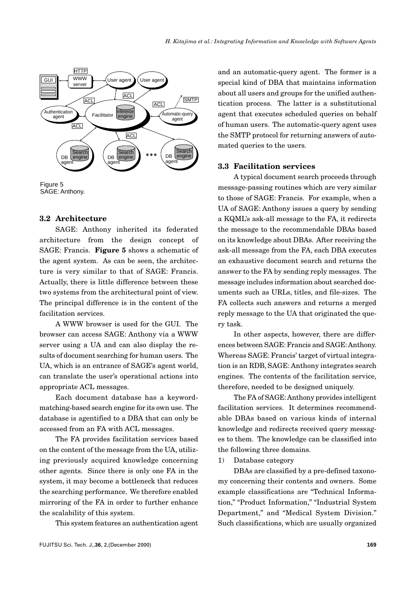

Figure 5 SAGE: Anthony.

#### **3.2 Architecture**

SAGE: Anthony inherited its federated architecture from the design concept of SAGE: Francis. **Figure 5** shows a schematic of the agent system. As can be seen, the architecture is very similar to that of SAGE: Francis. Actually, there is little difference between these two systems from the architectural point of view. The principal difference is in the content of the facilitation services.

A WWW browser is used for the GUI. The browser can access SAGE: Anthony via a WWW server using a UA and can also display the results of document searching for human users. The UA, which is an entrance of SAGE's agent world, can translate the user's operational actions into appropriate ACL messages.

Each document database has a keywordmatching-based search engine for its own use. The database is agentified to a DBA that can only be accessed from an FA with ACL messages.

The FA provides facilitation services based on the content of the message from the UA, utilizing previously acquired knowledge concerning other agents. Since there is only one FA in the system, it may become a bottleneck that reduces the searching performance. We therefore enabled mirroring of the FA in order to further enhance the scalability of this system.

This system features an authentication agent

and an automatic-query agent. The former is a special kind of DBA that maintains information about all users and groups for the unified authentication process. The latter is a substitutional agent that executes scheduled queries on behalf of human users. The automatic-query agent uses the SMTP protocol for returning answers of automated queries to the users.

#### **3.3 Facilitation services**

A typical document search proceeds through message-passing routines which are very similar to those of SAGE: Francis. For example, when a UA of SAGE: Anthony issues a query by sending a KQML's ask-all message to the FA, it redirects the message to the recommendable DBAs based on its knowledge about DBAs. After receiving the ask-all message from the FA, each DBA executes an exhaustive document search and returns the answer to the FA by sending reply messages. The message includes information about searched documents such as URLs, titles, and file-sizes. The FA collects such answers and returns a merged reply message to the UA that originated the query task.

In other aspects, however, there are differences between SAGE: Francis and SAGE: Anthony. Whereas SAGE: Francis' target of virtual integration is an RDB, SAGE: Anthony integrates search engines. The contents of the facilitation service, therefore, needed to be designed uniquely.

The FA of SAGE: Anthony provides intelligent facilitation services. It determines recommendable DBAs based on various kinds of internal knowledge and redirects received query messages to them. The knowledge can be classified into the following three domains.

1) Database category

DBAs are classified by a pre-defined taxonomy concerning their contents and owners. Some example classifications are "Technical Information," "Product Information," "Industrial System Department," and "Medical System Division." Such classifications, which are usually organized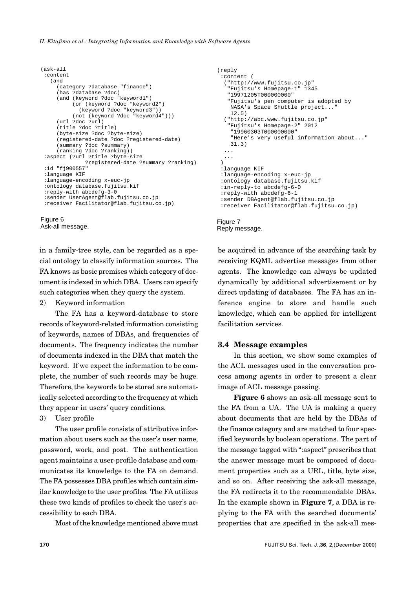#### *H. Kitajima et al.: Integrating Information and Knowledge with Software Agents*

```
(ask-all
  :content
    (and
      (category ?database "finance")
      (has ?database ?doc)
      (and (keyword ?doc "keyword1")
           (or (keyword ?doc "keyword2")
             (keyword ?doc "keyword3"))
           (not (keyword ?doc "keyword4")))
      (url ?doc ?url)
      (title ?doc ?title)
      (byte-size ?doc ?byte-size)
      (registered-date ?doc ?registered-date)
      (summary ?doc ?summary)
      (ranking ?doc ?ranking))
  :aspect (?url ?title ?byte-size
               ?registered-date ?summary ?ranking)
  :id "fj900557"
  :language KIF
  :language-encoding x-euc-jp
  :ontology database.fujitsu.kif
  :reply-with abcdefg-3-0
  :sender UserAgent@flab.fujitsu.co.jp
  :receiver Facilitator@flab.fujitsu.co.jp)
Figure 6
```
Ask-all message.

in a family-tree style, can be regarded as a special ontology to classify information sources. The FA knows as basic premises which category of document is indexed in which DBA. Users can specify such categories when they query the system.

2) Keyword information

The FA has a keyword-database to store records of keyword-related information consisting of keywords, names of DBAs, and frequencies of documents. The frequency indicates the number of documents indexed in the DBA that match the keyword. If we expect the information to be complete, the number of such records may be huge. Therefore, the keywords to be stored are automatically selected according to the frequency at which they appear in users' query conditions.

3) User profile

The user profile consists of attributive information about users such as the user's user name, password, work, and post. The authentication agent maintains a user-profile database and communicates its knowledge to the FA on demand. The FA possesses DBA profiles which contain similar knowledge to the user profiles. The FA utilizes these two kinds of profiles to check the user's accessibility to each DBA.

Most of the knowledge mentioned above must

```
(reply
  :content (
   ("http://www.fujitsu.co.jp"
    "Fujitsu's Homepage-1" 1345
    "19971205T000000000"
    "Fujitsu's pen computer is adopted by 
    NASA's Space Shuttle project..."
     12.5)
   ("http://abc.www.fujitsu.co.jp"
    "Fujitsu's Homepage-2" 2012
     "19960303T000000000"
     "Here's very useful information about..."
     31.3)
   ...
   ...
 \lambda :language KIF
  :language-encoding x-euc-jp
  :ontology database.fujitsu.kif
  :in-reply-to abcdefg-6-0
  :reply-with abcdefg-6-1
  :sender DBAgent@flab.fujitsu.co.jp
  :receiver Facilitator@flab.fujitsu.co.jp)
```

```
Figure 7
Reply message.
```
be acquired in advance of the searching task by receiving KQML advertise messages from other agents. The knowledge can always be updated dynamically by additional advertisement or by direct updating of databases. The FA has an inference engine to store and handle such knowledge, which can be applied for intelligent facilitation services.

### **3.4 Message examples**

In this section, we show some examples of the ACL messages used in the conversation process among agents in order to present a clear image of ACL message passing.

**Figure 6** shows an ask-all message sent to the FA from a UA. The UA is making a query about documents that are held by the DBAs of the finance category and are matched to four specified keywords by boolean operations. The part of the message tagged with ":aspect" prescribes that the answer message must be composed of document properties such as a URL, title, byte size, and so on. After receiving the ask-all message, the FA redirects it to the recommendable DBAs. In the example shown in **Figure 7**, a DBA is replying to the FA with the searched documents' properties that are specified in the ask-all mes-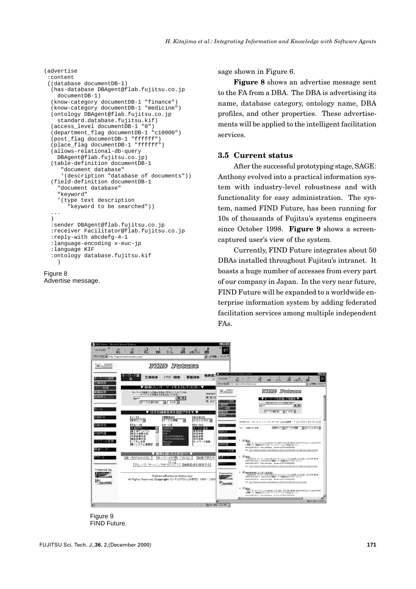```
(advertise
  :content
  ((database documentDB-1)
   (has-database DBAgent@flab.fujitsu.co.jp
    documentDB-1)
   (know-category documentDB-1 "finance")
   (know-category documentDB-1 "medicine")
   (ontology DBAgent@flab.fujitsu.co.jp
   standard.database.fujitsu.kif)
   (access_level documentDB-1 "0")
   (department_flag documentDB-1 "c10000")
   (post_flag documentDB-1 "ffffff")
   (place_flag documentDB-1 "ffffff")
   (allows-relational-db-query
    DBAgent@flab.fujitsu.co.jp)
   (table-definition documentDB-1
      "document database"
      '(description "database of documents"))
   (field-definition documentDB-1
     "document database"
     "keyword"
     '(type text description
        ..<br>"keyword to be searched"))
 ...
  \lambda :sender DBAgent@flab.fujitsu.co.jp
   :receiver Facilitator@flab.fujitsu.co.jp
   :reply-with abcdefg-4-1
   :language-encoding x-euc-jp
   :language KIF
   :ontology database.fujitsu.kif
     )
```

```
Figure 8
Advertise message.
```
sage shown in Figure 6.

**Figure 8** shows an advertise message sent to the FA from a DBA. The DBA is advertising its name, database category, ontology name, DBA profiles, and other properties. These advertisements will be applied to the intelligent facilitation services.

#### **3.5 Current status**

After the successful prototyping stage, SAGE: Anthony evolved into a practical information system with industry-level robustness and with functionality for easy administration. The system, named FIND Future, has been running for 10s of thousands of Fujitsu's systems engineers since October 1998. **Figure 9** shows a screencaptured user's view of the system.

Currently, FIND Future integrates about 50 DBAs installed throughout Fujitsu's intranet. It boasts a huge number of accesses from every part of our company in Japan. In the very near future, FIND Future will be expanded to a worldwide enterprise information system by adding federated facilitation services among multiple independent FAs.



Figure 9 FIND Future.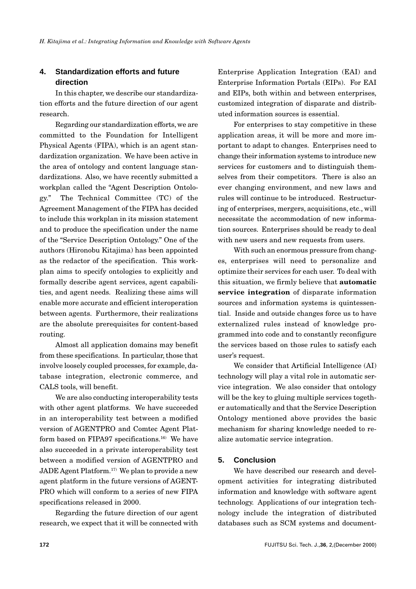## **4. Standardization efforts and future direction**

In this chapter, we describe our standardization efforts and the future direction of our agent research.

Regarding our standardization efforts, we are committed to the Foundation for Intelligent Physical Agents (FIPA), which is an agent standardization organization. We have been active in the area of ontology and content language standardizations. Also, we have recently submitted a workplan called the "Agent Description Ontology." The Technical Committee (TC) of the Agreement Management of the FIPA has decided to include this workplan in its mission statement and to produce the specification under the name of the "Service Description Ontology." One of the authors (Hironobu Kitajima) has been appointed as the redactor of the specification. This workplan aims to specify ontologies to explicitly and formally describe agent services, agent capabilities, and agent needs. Realizing these aims will enable more accurate and efficient interoperation between agents. Furthermore, their realizations are the absolute prerequisites for content-based routing.

Almost all application domains may benefit from these specifications. In particular, those that involve loosely coupled processes, for example, database integration, electronic commerce, and CALS tools, will benefit.

We are also conducting interoperability tests with other agent platforms. We have succeeded in an interoperability test between a modified version of AGENTPRO and Comtec Agent Platform based on FIPA97 specifications.16) We have also succeeded in a private interoperability test between a modified version of AGENTPRO and JADE Agent Platform.17) We plan to provide a new agent platform in the future versions of AGENT-PRO which will conform to a series of new FIPA specifications released in 2000.

Regarding the future direction of our agent research, we expect that it will be connected with Enterprise Application Integration (EAI) and Enterprise Information Portals (EIPs). For EAI and EIPs, both within and between enterprises, customized integration of disparate and distributed information sources is essential.

For enterprises to stay competitive in these application areas, it will be more and more important to adapt to changes. Enterprises need to change their information systems to introduce new services for customers and to distinguish themselves from their competitors. There is also an ever changing environment, and new laws and rules will continue to be introduced. Restructuring of enterprises, mergers, acquisitions, etc., will necessitate the accommodation of new information sources. Enterprises should be ready to deal with new users and new requests from users.

With such an enormous pressure from changes, enterprises will need to personalize and optimize their services for each user. To deal with this situation, we firmly believe that **automatic service integration** of disparate information sources and information systems is quintessential. Inside and outside changes force us to have externalized rules instead of knowledge programmed into code and to constantly reconfigure the services based on those rules to satisfy each user's request.

We consider that Artificial Intelligence (AI) technology will play a vital role in automatic service integration. We also consider that ontology will be the key to gluing multiple services together automatically and that the Service Description Ontology mentioned above provides the basic mechanism for sharing knowledge needed to realize automatic service integration.

### **5. Conclusion**

We have described our research and development activities for integrating distributed information and knowledge with software agent technology. Applications of our integration technology include the integration of distributed databases such as SCM systems and document-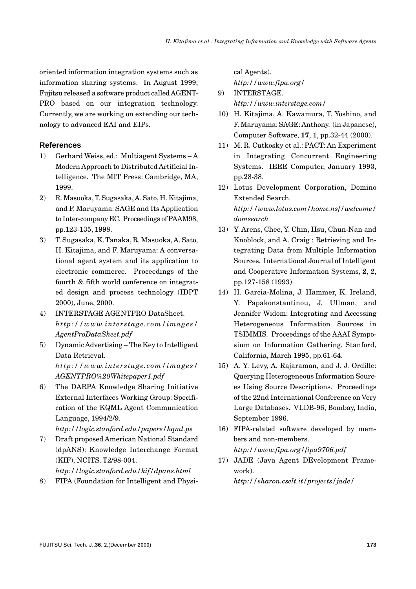oriented information integration systems such as information sharing systems. In August 1999, Fujitsu released a software product called AGENT-PRO based on our integration technology. Currently, we are working on extending our technology to advanced EAI and EIPs.

## **References**

- 1) Gerhard Weiss, ed.: Multiagent Systems A Modern Approach to Distributed Artificial Intelligence. The MIT Press: Cambridge, MA, 1999.
- 2) R. Masuoka, T. Sugasaka, A. Sato, H. Kitajima, and F. Maruyama: SAGE and Its Application to Inter-company EC. Proceedings of PAAM98, pp.123-135, 1998.
- 3) T. Sugasaka, K. Tanaka, R. Masuoka, A. Sato, H. Kitajima, and F. Maruyama: A conversational agent system and its application to electronic commerce. Proceedings of the fourth & fifth world conference on integrated design and process technology (IDPT 2000), June, 2000.
- 4) INTERSTAGE AGENTPRO DataSheet. *http://www.interstage.com/images/ AgentProDataSheet.pdf*
- 5) Dynamic Advertising The Key to Intelligent Data Retrieval. *http://www.interstage.com/images/ AGENTPRO%20Whitepaper1.pdf*
- 6) The DARPA Knowledge Sharing Initiative External Interfaces Working Group: Specification of the KQML Agent Communication Language, 1994/2/9.

*http://logic.stanford.edu/papers/kqml.ps*

- 7) Draft proposed American National Standard (dpANS): Knowledge Interchange Format (KIF), NCITS. T2/98-004. *http://logic.stanford.edu/kif/dpans.html*
- 8) FIPA (Foundation for Intelligent and Physi-

cal Agents). *http://www.fipa.org/*

- 9) INTERSTAGE. *http://www.interstage.com/*
- 10) H. Kitajima, A. Kawamura, T. Yoshino, and F. Maruyama: SAGE: Anthony. (in Japanese), Computer Software, **17**, 1, pp.32-44 (2000).
- 11) M. R. Cutkosky et al.: PACT: An Experiment in Integrating Concurrent Engineering Systems. IEEE Computer, January 1993, pp.28-38.
- 12) Lotus Development Corporation, Domino Extended Search. *http://www.lotus.com/home.nsf/welcome/ domsearch*
- 13) Y. Arens, Chee, Y. Chin, Hsu, Chun-Nan and Knoblock, and A. Craig : Retrieving and Integrating Data from Multiple Information Sources. International Journal of Intelligent and Cooperative Information Systems, **2**, 2, pp.127-158 (1993).
- 14) H. Garcia-Molina, J. Hammer, K. Ireland, Y. Papakonstantinou, J. Ullman, and Jennifer Widom: Integrating and Accessing Heterogeneous Information Sources in TSIMMIS. Proceedings of the AAAI Symposium on Information Gathering, Stanford, California, March 1995, pp.61-64.
- 15) A. Y. Levy, A. Rajaraman, and J. J. Ordille: Querying Heterogeneous Information Sources Using Source Descriptions. Proceedings of the 22nd International Conference on Very Large Databases. VLDB-96, Bombay, India, September 1996.
- 16) FIPA-related software developed by members and non-members. *http://www.fipa.org/fipa9706.pdf*
- 17) JADE (Java Agent DEvelopment Framework). *http://sharon.cselt.it/projects/jade/*